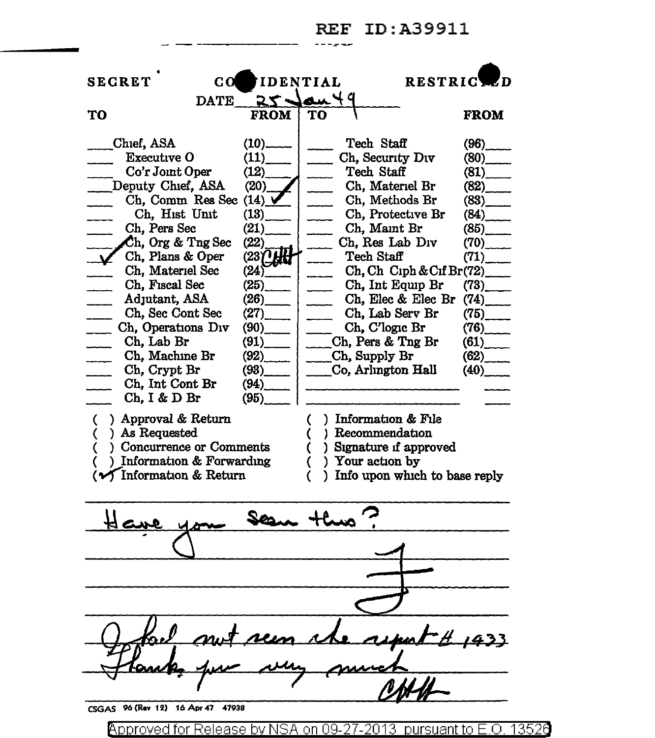

@'pproved for Release by NSA on 09-27-2013 pursuantto E.O. 1352e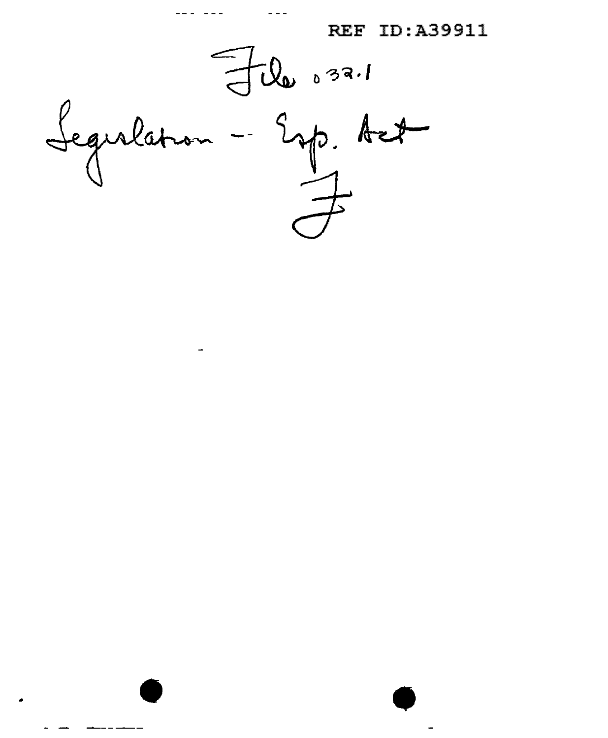File 032.1

 $-\frac{2}{4}$ Seguilation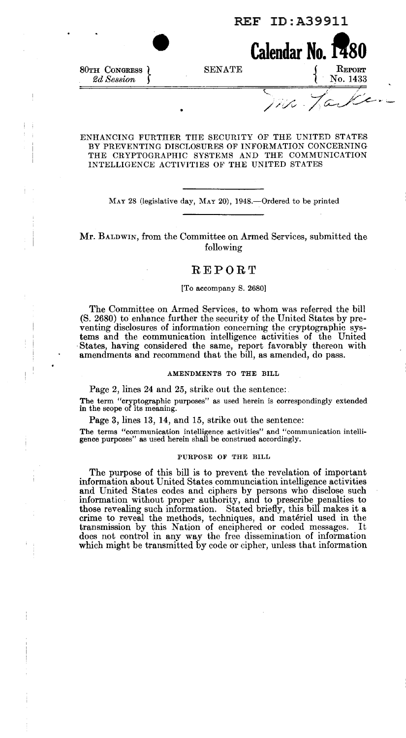

#### ENHANCING FURTHER THE SECURITY OF THE UNITED STATES BY PREVENTING DISCLOSURES OF INFORMATION CONCERNING THE CRYPTOGRAPHIC SYSTEMS AND THE COMMUNICATION INTELLIGENCE ACTIVITIES OF THE UNITED STATES

MAY 28 (legislative day, MAY 20), 1948.—Ordered to be printed

#### Mr. BALDWIN, from the Committee on Armed Services, submitted the following

#### **REPORT**

#### [To accompany S. 2680]

The Committee on Armed Services, to whom was referred the bill (S. 2680) to enhance further the security of the United States by preventing disclosures of information concerning the cryptographic systems and the communication intelligence activities of the United States, having considered the same, report favorably thereon with amendments and recommend that the bill, as amended, do pass.

#### AMENDMENTS TO THE BILL

Page 2, lines 24 and 25, strike out the sentence:.

The term "cryptographic purposes" as used herein is correspondingly extended in the scope of its meaning.

Page 3, lines 13, 14, and 15, strike out the sentence:

The terms "communication intelligence activities" and "communication intelligence purposes" as used herein shall be construed accordingly.

#### PURPOSE OF THE BILL

The purpose of this bill is to prevent the revelation of important information about United States communciation intelligence activities and United States codes and ciphers by persons who disclose such information without proper authority, and to prescribe penalties to those revealing such information. Stated briefly, this bill makes it a crime to reveal the methods, techniques, and materiel used in the transmission by this Nation of enciphered or coded messages. It does not control in any way the free dissemination of information which might be transmitted by code or cipher, unless that information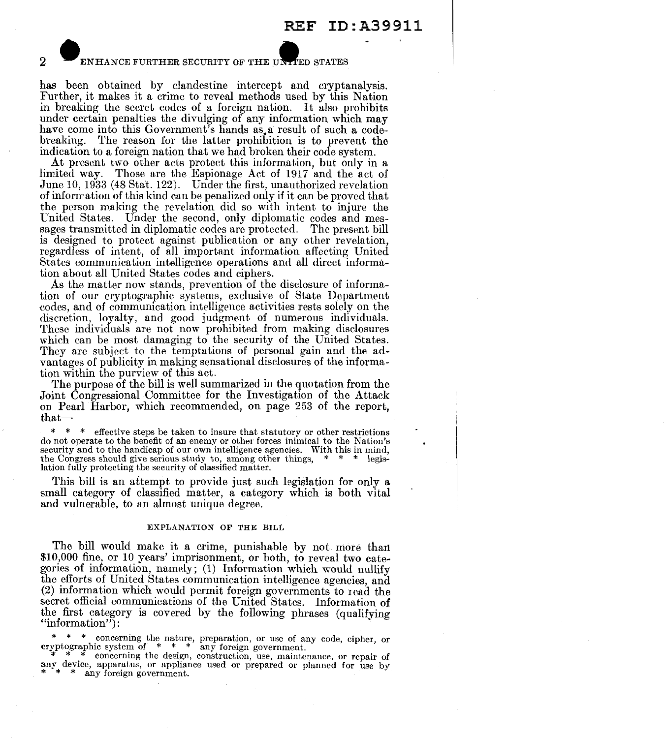2 ENHANCE FURTHER SECURITY OF THE UNLER STATES

has been obtained by clandestine intercept and cryptanalysis. Further, it makes it a crime to reveal methods used by this Nation in breaking the secret codes of a foreign nation. It also prohibits under certain penalties the divulging of any information which may have come into this Government's hands as a result of such a codebreaking. The reason for the latter prohibition is to prevent the indication to a foreign nation that we had broken their code system.

At present two other acts protect this information, but only in a limited way. Those are the Espionage Act of 1917 and the act of June 10, 1933 (48 Stat. 122). Under the first, unauthorized revelation of information of this kind can be penalized only if it can be proved that the person making the revelation did so with intent to injure the United States. Under the second, only diplomatic codes and messages transmitted in diplomatic codes are protected. The present bill is designed to protect against publication or any other revelation, regardless of intent, of all important information affecting United States communication intelligence operations and all direct information about all United States codes and ciphers.

As the matter now stands, prevention of the disclosure of information of our cryptographic systems, exclusive of State Department codes, and of communication intelligence activities rests solely on the discretion, loyalty, and good judgment of numerous individuals. These individuals are not now prohibited from making disclosures which can be most damaging to the security of the United States. They are subject to the temptations of personal gain and the advantages of publicity in making sensational disclosures of the information within the purview of this act.

The purpose of the bill is well summarized in the quotation from the Joint Congressional Committee for the Investigation of the Attack on Pearl Harbor, which recommended, on page 253 of the report,  $that-$ 

\* \* \* effective steps be taken to insure that statutory or other restrictions do not operate to the benefit of an enemy or other forces inimical to the Nation's security and to the handicap of our own intelligence agencies. With this in mind, the Congress should give serious study to, among other things,  $* * * \text{legis-}$ the Congress should give serious study to, among other things, lation fully protecting the security of classified matter.

This bill is an attempt to provide just such legislation for only a small category of classified matter, a category which is both vital and vulnerable, to an almost unique degree.

#### EXPLANATION OF THE BILL

The bill would make it a crime, punishable by not more than \$10,000 fine, or 10 years' imprisonment, or both, to reveal two categories of information, namely; (1) Information which would nullify the efforts of United States communication intelligence agencies, and (2) information which would permit foreign governments to read the secret official communications of the United States. Information of the first category is covered by the following phrases (qualifying "information":

\* \* \* concerning the nature, preparation, or use of any code, cipher, or cryptographic system of \* \* \* any foreign government.

\* concerning the design, construction, use, maintenance, or repair of any device, apparatus, or appliance used or prepared or planned for use by  $* * *$  any foreign government.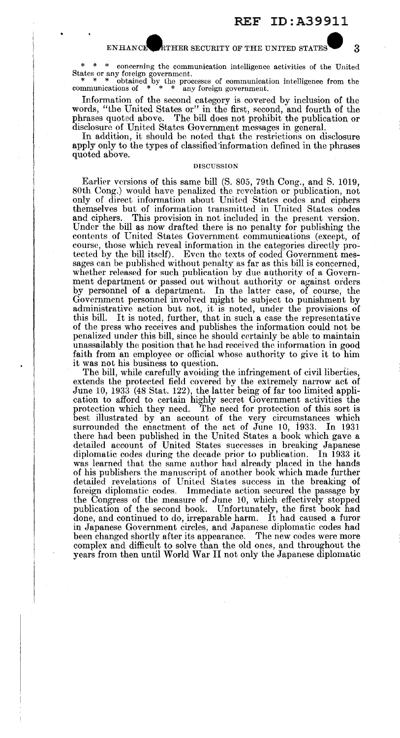#### ENHANCE RTHER SECURITY OF THE UNITED STATES 3

\* \* \* concerning the communication intelligence activities of the United States or any foreign government.<br>
\* \* \* obtained by the processes of communication intelligence from the

communications of  $*$   $*$   $*$  any foreign government.

Information of the second category is covered by inclusion of the words, "the United States or" in the first, second, and fourth of the phrases quoted above. The bill does not prohibit the publication or disclosure of United States Government messages in general.

In addition, it should be noted that the restrictions on disclosure apply only to the types of classified information defined in the phrases quoted above.

#### DISCUSSION

Earlier versions of this same bill (S. 805, 79th Cong., and S. 1019, 80th Cong.) would have penalized the revelation or publication, not only of direct information about United States codes and ciphers themselves but of information transmitted in United States codes This provision in not included in the present version. Under the bill as now drafted there is no penalty for publishing the contents of United States Government communications (except, of course, those which reveal information in the categories directly protected by the bill itself). Even the texts of coded Government messages can be published without penalty as far as this bill is concerned, whether released for such publication by due authority of a Government department or passed out without authority or against orders by personnel of a department. In the latter case, of course, the Government personnel involved might be subject to punishment by administrative action but not, it is noted, under the provisions of this bill. It is noted, further, that in such a case the representative It is noted, further, that in such a case the representative of the press who receives and publishes the information could not be penalized under this bill, since he should certainly be able to maintain unassailably the position that he had received the information in good faith from an employee or official whose authority to give it to him it was not his business to question.

The bill, while carefully avoiding the infringement of civil liberties, extends the protected field covered by the extremely narrow act of June 10, 1933 (48 Stat. 122), the latter being of far too limited application to afford to certain highly secret Government activities the protection which they need. The need for protection of this sort is best illustrated by an account of the very circumstances which surrounded the enactment of the act of June 10, i933. In 1931 there had been published in the United States a book which gave a detailed account of United States successes in breaking Japanese diplomatic codes during the decade prior to publication. In 1933 it was learned that the same author had already placed in the hands of his publishers the manuscript of another book which made further detailed revelations of United States success in the breaking of foreign diplomatic codes. Immediate action secured the passage by the Congress of the measure of June 10, which effectively stopped publication of the second book. Unfortunately, the first book had done, and continued to do, irreparable harm. It had caused a furor in Japanese Government circles, and Japanese diplomatic codes had been changed shortly after its appearance. The new codes were more complex and difficult to solve than the old ones, and throughout the years from then until World War II not only the Japanese diplomatic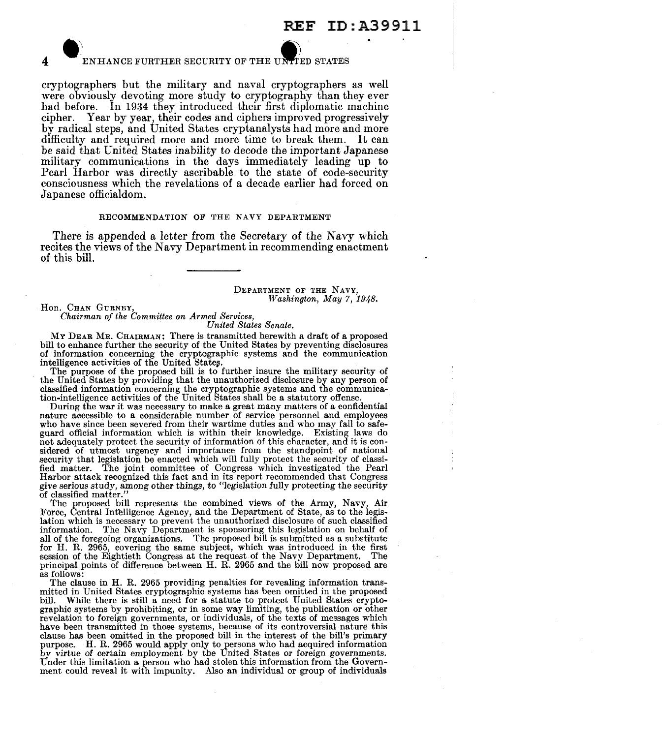# ENHANCE FURTHER SECURITY OF THE UNITED STATES

cryptographers but the military and naval cryptographers as well were obviously devoting more study to cryptography than they ever had before. In 1934 they introduced their first diplomatic machine cipher. Year by year, their codes and ciphers improved progressively by radical steps, and United States cryptanalysts had more and more difficulty and required more and more time to break them. It can be said that United States inability to decode the important Japanese military communications in the days immediately leading up to Pearl Harbor was directly ascribable to the state of code-security consciousness which the revelations of a decade earlier had forced on Japanese officialdom.

#### RECOMMENDATION OF THE NAVY DEPARTMENT

There is appended a letter from the Secretary of the Navy which recites the views of the Navy Department in recommending enactment of this bill.

> DEPARTMENT OF THE NAVY, *Washington, May 7, 1948.*

Hon. CHAN GURNEY.

*Chairman of the Committee on Armed Services,* 

*United States Senate.* 

MY DEAR MR. CHAIRMAN: There is transmitted herewith a draft of a proposed bill to enhance further the security of the United States by preventing disclosures of information concerning the cryptographic systems and the communication

intelligence activities of the United States.<br>The purpose of the proposed bill is to further insure the military security of the United States by providing that the unauthorized disclosure by any person of classified information concerning the cryptographic systems and the communica-tion-intelligence activities of the United States shall be a statutory offense.

During the war it was necessary to make a great many matters of a confidential nature accessible to a considerable number of service personnel and employees who have since been severed from their wartime duties and who may fail to safeguard official information which is within their knowledge. Existing laws do not adequately protect the security of information of this character, and it is con- sidered of utmost urgency and importance from the standpoint of national security that legislation be enacted which will fully protect the security of classified matter. The joint committee of Congress which investigated the Pearl Harbor attack recognized this fact and in its report recommended that Congress give serious study, among other things, to "legislation fully protecting the security of classified matter."

The proposed bill represents the combined views of the Army, Navy, Air Force, Central Intelligence Agency, and the Department of State, as to the legislation which is necessary to prevent the unauthorized disclosure of such classified information. The Navy Department is sponsoring this legislation on behalf of all of the foregoing organizations. The proposed bill is submitted as a substitute for H. R. 2965, covering the same subject, which was introduced in the first session of the Eightieth Congress at the request.of the Navy Department. The principal points of difference between H. R. 2965 and the bill now proposed are as follows:

The clause in H. R. 2965 providing penalties for revealing information transmitted in United States cryptographic systems has been omitted in the proposed bill. While there is still a need for a statute to protect United States crypto-While there is still a need for a statute to protect United States cryptographic systems by prohibiting, or in some way limiting, the publication or other revelation to foreign governments, or individuals, of the texts of messages which have been transmitted in those systems, because of its controversial nature this clause has been omitted in the proposed bill in the interest of the bill's primary purpose. H. R. 2965 would apply only to persons who had acquired information by virtue of certain employment by the United States or foreign governments. Under this limitation a person who had stolen this information from the Government could reveal it with impunity. Also an individual or group of individuals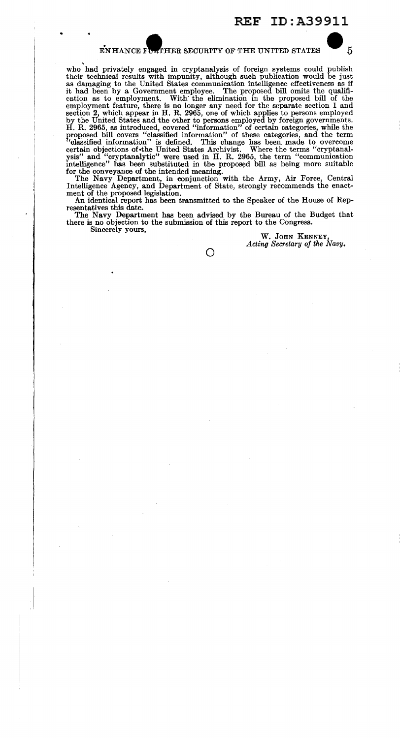#### ENHANCE FUNTHER SECURITY OF THE UNITED STATES  $\sim$  5

' who had privately engaged in cryptanalysis of foreign systems could publish their technical results with impunity, although such publication would be just as damaging to the United States communication intelligence effectiveness as if it had been by a Government employee. The proposed bill omits the qualification as to employment. With the elimination in the proposed bill of the employment feature, there is no longer any need for the separate section 1 and section 2, which appear in H. R. 2965, one of which applies to persons employed by the United States and the other to persons employed by forei proposed bill covers "classified information" of these categories, and the term "classified information" is defined. This change has been made to overcome certain objections of the United States Archivist. Where the terms "cryptanal-<br>ysis" and "cryptanalytic" were used in H. R. 2965, the term "communi intelligence" has been substituted in the proposed bill as being more suitable

for the conveyance of the intended meaning. The Navy Department, in conjunction with the Army, Air Force, Central Intelligence Agency, and Department of State, strongly recommends the enactment of the proposed legislation.

An identical report has been transmitted to the Speaker of the House of Representatives this date.

The Navy Department has been advised by the Bureau of the Budget that there is no objection to the submission of this report to the Congress. Sincerely yours,

W. JOHN KENNEY, *Acting Secretary of the Navy.* 

 $\bigcirc$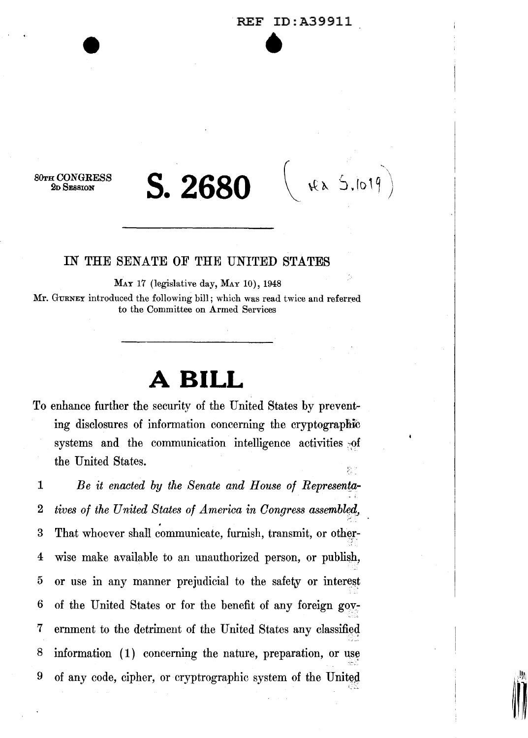*BOTH* CONGRESS 2D SESSION

## **S.2680**

rea S.lotg

't •

#### IN THE SENATE OF THE UNITED STATES

MAY 17 (legislative day, MAY 10), 1948 Mr. GURNEY introduced the following bill; which was read twice and referred to the Committee on Armed Services

## **A BILL**

To enhance further the security of the United States by preventing disclosures of information concerning the cryptographic systems and the communication intelligence activities of the United States.

1 *Be it enacted by the Senate and House of Represenfa-*2 *tives of the United States of America in Congress assembled,* 3 That whoever shall communicate, furnish, transmit, or other-4 wise make available to an unauthorized person, or publish, 5 or use in any manner prejudicial to the safety or interest 6 of the United States or for the benefit of any foreign gov-7 ernment to the detriment of the United States any classified 8 information (1) concerning the nature, preparation, or use 9 of any code, cipher, or cryptrographic system of the United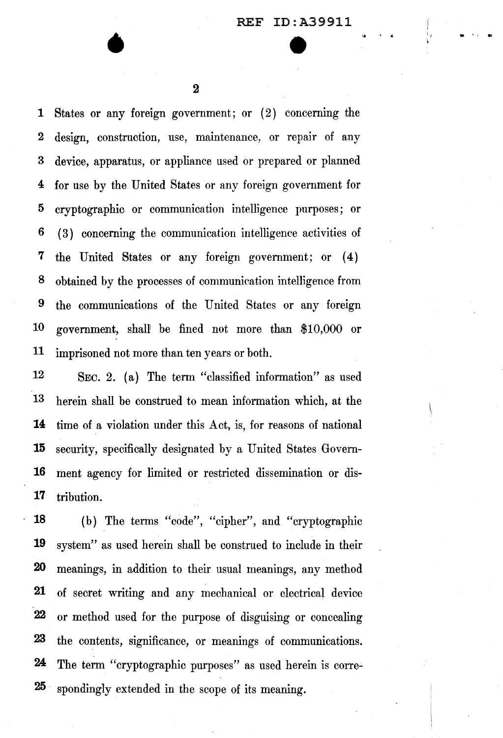$\alpha$  ,  $\beta$  ,  $\alpha$ 

1, f

2

•

1 States or any foreign government; or (2) concerning the 2 design, construction, use, maintenance, or repair of any 3 device, apparatus, or appliance used or prepared or planned 4 for use by the United States or any foreign government for 5 cryptographic or communication intelligence purposes; or 6 ( 3) concerning the communication intelligence activities of 7 the United States or any foreign government; or ( 4) 8 obtained by the processes of communication intelligence from 9 the communications of the United States or any foreign 10 government, shall be fined not more than \$10,000 or 11 imprisoned not more than ten years or both.

12 SEC. 2. (a) The term "classified information" as used 13 herein shall be construed to mean information which, at the 14 time of a violation under this Act, is, for reasons of national 15 security, specifically designated by a United States Govern-16 ment agency for limited or restricted dissemination or dis-17 tribution.

18 (b) The terms "code", "cipher", and "cryptographic 19 system" as used herein shall be construed to include in their 20 meanings, in addition to their usual meanings, any method 21 of secret writing and any mechanical or electrical device 22 or method used for the purpose of disguising or concealing 23 the contents, significance, or meanings of communications. 24 The term "cryptographic purposes" as used herein is corre-25 spondingly extended in the scope of its meaning.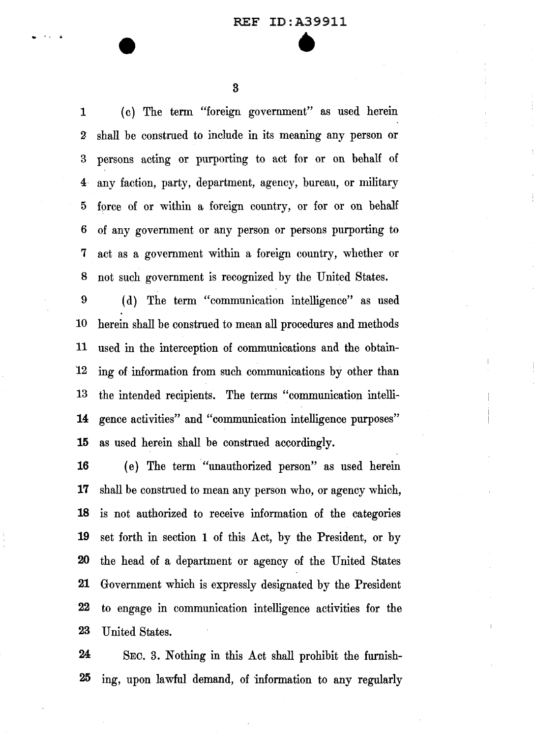3

- • ' **Q.** 

1 ( c) The term "foreign government" as used herein *Z* shall be construed to include in its meaning any person or 3 persons acting or purporting to act for or on behalf of 4· any faction, party, department, agency, bureau, or military 5 force of or within a foreign country, or for or on behalf 6 of any government or any person or persons purporting to 7 act as a government within a foreign country, whether or 8 not such government is recognized by the United States.

9 ( d) The term "communication intelligence" as used 10 herein shall be construed to mean all procedures and methods 11 used in the interception of communications and the obtain-12 ing of information from such communications by other than 13 the intended recipients. The terms "communication intelli-**14** gence activities" and "communication intelligence purposes" **15** as used herein shall be construed accordingly.

( e) The term "unauthorized person" as used herein shall be construed to mean any person who, or agency which, is not authorized to receive information of the categories set forth in section **1** of this Act, by the President, or by the head of a department or agency of the United States Government which is expressly designated by the President to engage in communication intelligence activities for the 23 United States.

**24** SEC. 3. Nothing in this Act shall prohibit the furnish-**25** ing, upon lawful demand, of information to any regularly